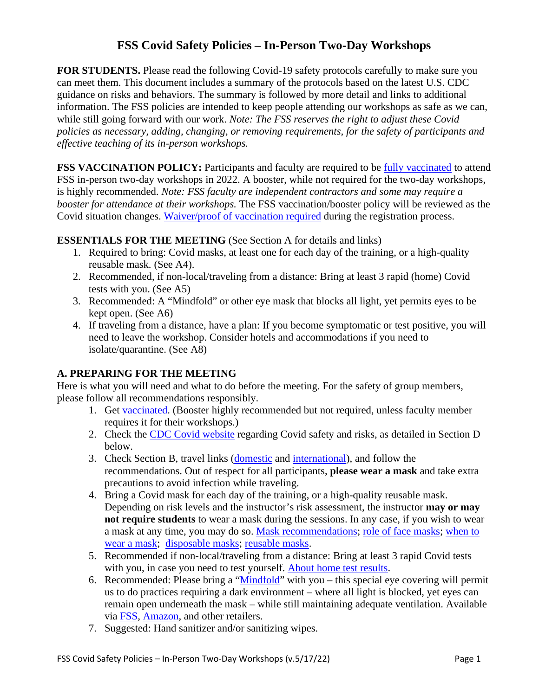# **FSS Covid Safety Policies – In-Person Two-Day Workshops**

FOR STUDENTS. Please read the following Covid-19 safety protocols carefully to make sure you can meet them. This document includes a summary of the protocols based on the latest U.S. CDC guidance on risks and behaviors. The summary is followed by more detail and links to additional information. The FSS policies are intended to keep people attending our workshops as safe as we can, while still going forward with our work. *Note: The FSS reserves the right to adjust these Covid policies as necessary, adding, changing, or removing requirements, for the safety of participants and effective teaching of its in-person workshops.*

**FSS VACCINATION POLICY:** Participants and faculty are required to be [fully vaccinated](https://www.cdc.gov/coronavirus/2019-ncov/vaccines/stay-up-to-date.html) to attend FSS in-person two-day workshops in 2022. A booster, while not required for the two-day workshops, is highly recommended. *Note: FSS faculty are independent contractors and some may require a booster for attendance at their workshops.* The FSS vaccination/booster policy will be reviewed as the Covid situation changes. [Waiver/proof of vaccination required](https://shamanism.org/news/cov-19-assumption-of-risk-waiver-release/) during the registration process.

#### **ESSENTIALS FOR THE MEETING** (See Section A for details and links)

- 1. Required to bring: Covid masks, at least one for each day of the training, or a high-quality reusable mask. (See A4).
- 2. Recommended, if non-local/traveling from a distance: Bring at least 3 rapid (home) Covid tests with you. (See A5)
- 3. Recommended: A "Mindfold" or other eye mask that blocks all light, yet permits eyes to be kept open. (See A6)
- 4. If traveling from a distance, have a plan: If you become symptomatic or test positive, you will need to leave the workshop. Consider hotels and accommodations if you need to isolate/quarantine. (See A8)

#### **A. PREPARING FOR THE MEETING**

Here is what you will need and what to do before the meeting. For the safety of group members, please follow all recommendations responsibly.

- 1. Get [vaccinated.](https://www.cdc.gov/coronavirus/2019-ncov/vaccines/stay-up-to-date.html) (Booster highly recommended but not required, unless faculty member requires it for their workshops.)
- 2. Check the [CDC Covid website](https://www.cdc.gov/coronavirus/2019-ncov/science/community-levels.html) regarding Covid safety and risks, as detailed in Section D below.
- 3. Check Section B, travel links [\(domestic](https://www.cdc.gov/coronavirus/2019-ncov/travelers/travel-during-covid19.html) and [international\)](https://www.cdc.gov/coronavirus/2019-ncov/travelers/international-travel-during-covid19.html), and follow the recommendations. Out of respect for all participants, **please wear a mask** and take extra precautions to avoid infection while traveling.
- 4. Bring a Covid mask for each day of the training, or a high-quality reusable mask. Depending on risk levels and the instructor's risk assessment, the instructor **may or may not require students** to wear a mask during the sessions. In any case, if you wish to wear a mask at any time, you may do so. [Mask recommendations;](https://www.cdc.gov/coronavirus/2019-ncov/prevent-getting-sick/types-of-masks.html) [role of face masks;](https://www.sciencedaily.com/releases/2022/03/220301093655.htm) [when to](https://www.washingtonpost.com/health/2022/04/20/when-to-still-mask-planes/)  wear [a mask;](https://www.washingtonpost.com/health/2022/04/20/when-to-still-mask-planes/) [disposable masks;](https://www.wired.com/story/best-disposable-face-masks-n95-kn95-kf94-surgical/) [reusable masks.](https://www.nytimes.com/wirecutter/reviews/best-cloth-face-masks/)
- 5. Recommended if non-local/traveling from a distance: Bring at least 3 rapid Covid tests with you, in case you need to test yourself. [About home test results.](https://www.nytimes.com/2022/04/08/well/live/at-home-covid-test-negative.html)
- 6. Recommended: Please bring a ["Mindfold"](https://shamanism.org/products/supplies.html) with you this special eye covering will permit us to do practices requiring a dark environment – where all light is blocked, yet eyes can remain open underneath the mask – while still maintaining adequate ventilation. Available via [FSS,](https://shamanism.org/products/supplies.html) [Amazon,](https://www.amazon.com/Dream-Essentials-Mindfold-Sleeping-Mask/dp/B00011R3N0/ref=sr_1_3) and other retailers.
- 7. Suggested: Hand sanitizer and/or sanitizing wipes.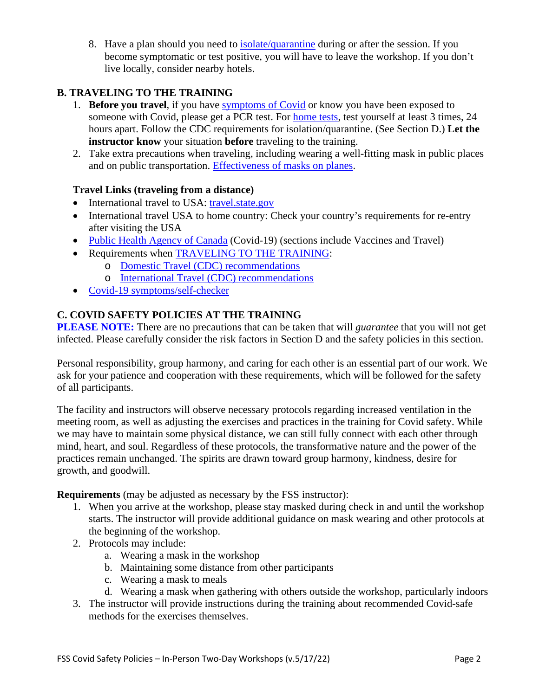8. Have a plan should you need to [isolate/quarantine](https://www.cdc.gov/coronavirus/2019-ncov/your-health/quarantine-isolation.html) during or after the session. If you become symptomatic or test positive, you will have to leave the workshop. If you don't live locally, consider nearby hotels.

## **B. TRAVELING TO THE TRAINING**

- 1. **Before you travel**, if you have [symptoms of Covid](https://www.cdc.gov/coronavirus/2019-ncov/symptoms-testing/symptoms.html) or know you have been exposed to someone with Covid, please get a PCR test. For [home tests,](https://www.nytimes.com/2022/04/08/well/live/at-home-covid-test-negative.html) test yourself at least 3 times, 24 hours apart. Follow the CDC requirements for isolation/quarantine. (See Section D.) **Let the instructor know** your situation **before** traveling to the training.
- 2. Take extra precautions when traveling, including wearing a well-fitting mask in public places and on public transportation. [Effectiveness of masks on planes.](https://youtu.be/7reTqobet2o)

#### **Travel Links (traveling from a distance)**

- International travel to USA: [travel.state.gov](https://travel.state.gov/content/travel/en/traveladvisories/ea/covid-19-information.html)
- International travel USA to home country: Check your country's requirements for re-entry after visiting the USA
- [Public Health Agency of Canada](https://www.canada.ca/en/public-health/services/diseases/coronavirus-disease-covid-19.html) (Covid-19) (sections include Vaccines and Travel)
- Requirements when [TRAVELING TO THE TRAINING:](https://www.cdc.gov/coronavirus/2019-ncov/travelers/index.html)
	- o [Domestic Travel \(CDC\) recommendations](https://www.cdc.gov/coronavirus/2019-ncov/travelers/travel-during-covid19.html)
	- o [International Travel \(CDC\) recommendations](https://www.cdc.gov/coronavirus/2019-ncov/travelers/international-travel-during-covid19.html)
- [Covid-19 symptoms/self-checker](https://www.cdc.gov/coronavirus/2019-ncov/symptoms-testing/symptoms.html)

## **C. COVID SAFETY POLICIES AT THE TRAINING**

**PLEASE NOTE:** There are no precautions that can be taken that will *guarantee* that you will not get infected. Please carefully consider the risk factors in Section D and the safety policies in this section.

Personal responsibility, group harmony, and caring for each other is an essential part of our work. We ask for your patience and cooperation with these requirements, which will be followed for the safety of all participants.

The facility and instructors will observe necessary protocols regarding increased ventilation in the meeting room, as well as adjusting the exercises and practices in the training for Covid safety. While we may have to maintain some physical distance, we can still fully connect with each other through mind, heart, and soul. Regardless of these protocols, the transformative nature and the power of the practices remain unchanged. The spirits are drawn toward group harmony, kindness, desire for growth, and goodwill.

**Requirements** (may be adjusted as necessary by the FSS instructor):

- 1. When you arrive at the workshop, please stay masked during check in and until the workshop starts. The instructor will provide additional guidance on mask wearing and other protocols at the beginning of the workshop.
- 2. Protocols may include:
	- a. Wearing a mask in the workshop
	- b. Maintaining some distance from other participants
	- c. Wearing a mask to meals
	- d. Wearing a mask when gathering with others outside the workshop, particularly indoors
- 3. The instructor will provide instructions during the training about recommended Covid-safe methods for the exercises themselves.